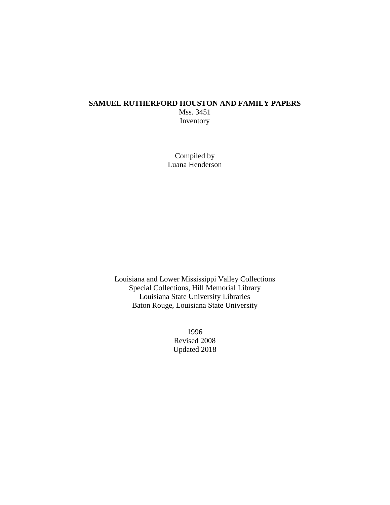## **SAMUEL RUTHERFORD HOUSTON AND FAMILY PAPERS** Mss. 3451 Inventory

Compiled by Luana Henderson

Louisiana and Lower Mississippi Valley Collections Special Collections, Hill Memorial Library Louisiana State University Libraries Baton Rouge, Louisiana State University

> 1996 Revised 2008 Updated 2018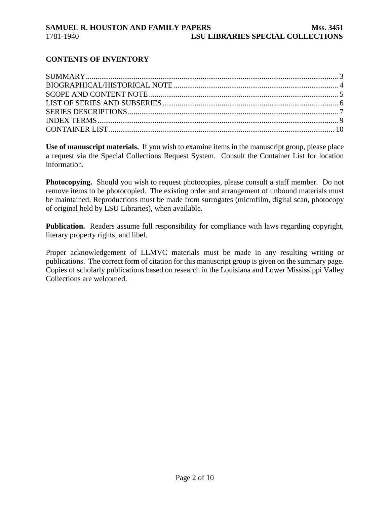## **CONTENTS OF INVENTORY**

**Use of manuscript materials.** If you wish to examine items in the manuscript group, please place a request via the Special Collections Request System. Consult the Container List for location information.

**Photocopying.** Should you wish to request photocopies, please consult a staff member. Do not remove items to be photocopied. The existing order and arrangement of unbound materials must be maintained. Reproductions must be made from surrogates (microfilm, digital scan, photocopy of original held by LSU Libraries), when available.

**Publication.** Readers assume full responsibility for compliance with laws regarding copyright, literary property rights, and libel.

Proper acknowledgement of LLMVC materials must be made in any resulting writing or publications. The correct form of citation for this manuscript group is given on the summary page. Copies of scholarly publications based on research in the Louisiana and Lower Mississippi Valley Collections are welcomed.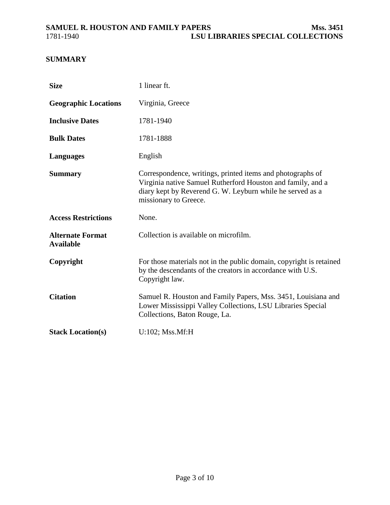# <span id="page-2-0"></span>**SUMMARY**

| <b>Size</b>                                 | 1 linear ft.                                                                                                                                                                                                    |
|---------------------------------------------|-----------------------------------------------------------------------------------------------------------------------------------------------------------------------------------------------------------------|
| <b>Geographic Locations</b>                 | Virginia, Greece                                                                                                                                                                                                |
| <b>Inclusive Dates</b>                      | 1781-1940                                                                                                                                                                                                       |
| <b>Bulk Dates</b>                           | 1781-1888                                                                                                                                                                                                       |
| <b>Languages</b>                            | English                                                                                                                                                                                                         |
| <b>Summary</b>                              | Correspondence, writings, printed items and photographs of<br>Virginia native Samuel Rutherford Houston and family, and a<br>diary kept by Reverend G. W. Leyburn while he served as a<br>missionary to Greece. |
| <b>Access Restrictions</b>                  | None.                                                                                                                                                                                                           |
| <b>Alternate Format</b><br><b>Available</b> | Collection is available on microfilm.                                                                                                                                                                           |
| Copyright                                   | For those materials not in the public domain, copyright is retained<br>by the descendants of the creators in accordance with U.S.<br>Copyright law.                                                             |
| <b>Citation</b>                             | Samuel R. Houston and Family Papers, Mss. 3451, Louisiana and<br>Lower Mississippi Valley Collections, LSU Libraries Special<br>Collections, Baton Rouge, La.                                                   |
| <b>Stack Location(s)</b>                    | $U:102$ ; Mss.Mf:H                                                                                                                                                                                              |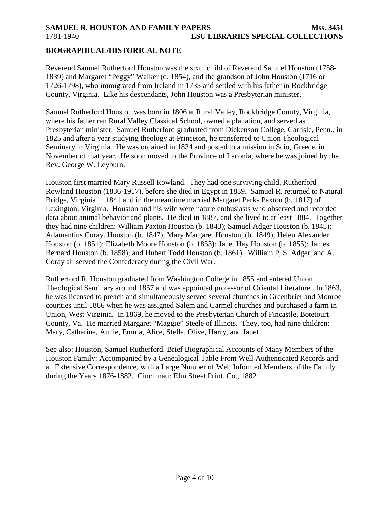# <span id="page-3-0"></span>**SAMUEL R. HOUSTON AND FAMILY PAPERS MSS. 3451** 1781-1940 **LSU LIBRARIES SPECIAL COLLECTIONS**

### **BIOGRAPHICAL/HISTORICAL NOTE**

Reverend Samuel Rutherford Houston was the sixth child of Reverend Samuel Houston (1758- 1839) and Margaret "Peggy" Walker (d. 1854), and the grandson of John Houston (1716 or 1726-1798), who immigrated from Ireland in 1735 and settled with his father in Rockbridge County, Virginia. Like his descendants, John Houston was a Presbyterian minister.

Samuel Rutherford Houston was born in 1806 at Rural Valley, Rockbridge County, Virginia, where his father ran Rural Valley Classical School, owned a planation, and served as Presbyterian minister. Samuel Rutherford graduated from Dickenson College, Carlisle, Penn., in 1825 and after a year studying theology at Princeton, he transferred to Union Theological Seminary in Virginia. He was ordained in 1834 and posted to a mission in Scio, Greece, in November of that year. He soon moved to the Province of Laconia, where he was joined by the Rev. George W. Leyburn.

Houston first married Mary Russell Rowland. They had one surviving child, Rutherford Rowland Houston (1836-1917), before she died in Egypt in 1839. Samuel R. returned to Natural Bridge, Virginia in 1841 and in the meantime married Margaret Parks Paxton (b. 1817) of Lexington, Virginia. Houston and his wife were nature enthusiasts who observed and recorded data about animal behavior and plants. He died in 1887, and she lived to at least 1884. Together they had nine children: William Paxton Houston (b. 1843); Samuel Adger Houston (b. 1845); Adamantius Coray. Houston (b. 1847); Mary Margaret Houston, (b. 1849); Helen Alexander Houston (b. 1851); Elizabeth Moore Houston (b. 1853); Janet Hay Houston (b. 1855); James Bernard Houston (b. 1858); and Hubert Todd Houston (b. 1861). William P, S. Adger, and A. Coray all served the Confederacy during the Civil War.

Rutherford R. Houston graduated from Washington College in 1855 and entered Union Theological Seminary around 1857 and was appointed professor of Oriental Literature. In 1863, he was licensed to preach and simultaneously served several churches in Greenbrier and Monroe counties until 1866 when he was assigned Salem and Carmel churches and purchased a farm in Union, West Virginia. In 1869, he moved to the Presbyterian Church of Fincastle, Botetourt County, Va. He married Margaret "Maggie" Steele of Illinois. They, too, had nine children: Mary, Catharine, Annie, Emma, Alice, Stella, Olive, Harry, and Janet

See also: Houston, Samuel Rutherford. Brief Biographical Accounts of Many Members of the Houston Family: Accompanied by a Genealogical Table From Well Authenticated Records and an Extensive Correspondence, with a Large Number of Well Informed Members of the Family during the Years 1876-1882. Cincinnati: Elm Street Print. Co., 1882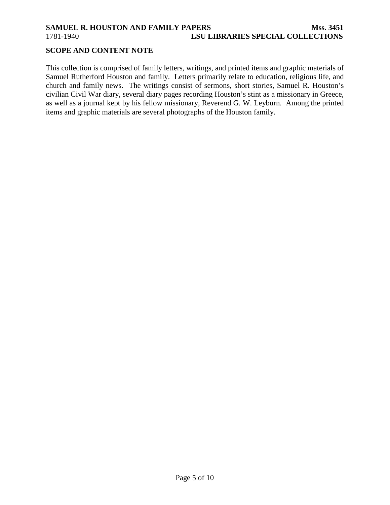# <span id="page-4-0"></span>**SAMUEL R. HOUSTON AND FAMILY PAPERS Mss. 3451** 1781-1940 **LSU LIBRARIES SPECIAL COLLECTIONS**

## **SCOPE AND CONTENT NOTE**

This collection is comprised of family letters, writings, and printed items and graphic materials of Samuel Rutherford Houston and family. Letters primarily relate to education, religious life, and church and family news. The writings consist of sermons, short stories, Samuel R. Houston's civilian Civil War diary, several diary pages recording Houston's stint as a missionary in Greece, as well as a journal kept by his fellow missionary, Reverend G. W. Leyburn. Among the printed items and graphic materials are several photographs of the Houston family.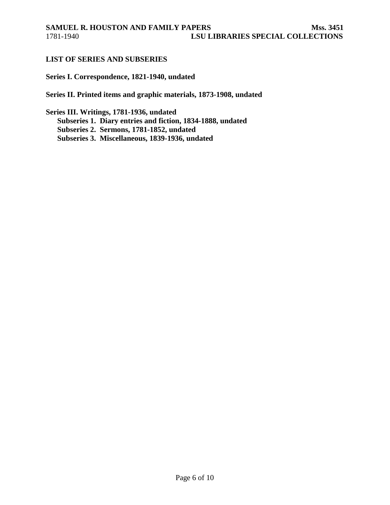### <span id="page-5-0"></span>**LIST OF SERIES AND SUBSERIES**

## **Series I. Correspondence, 1821-1940, undated**

**Series II. Printed items and graphic materials, 1873-1908, undated**

**Series III. Writings, 1781-1936, undated Subseries 1. Diary entries and fiction, 1834-1888, undated Subseries 2. Sermons, 1781-1852, undated Subseries 3. Miscellaneous, 1839-1936, undated**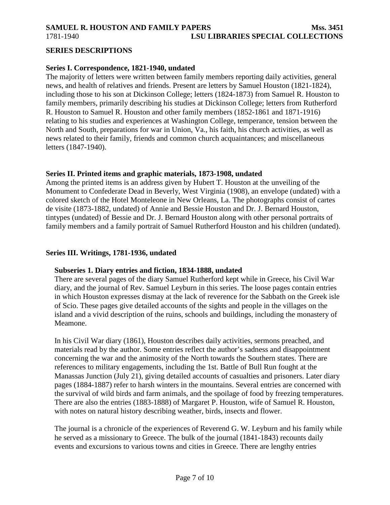# <span id="page-6-0"></span>**SAMUEL R. HOUSTON AND FAMILY PAPERS MSS. 3451** 1781-1940 **LSU LIBRARIES SPECIAL COLLECTIONS**

### **SERIES DESCRIPTIONS**

#### **Series I. Correspondence, 1821-1940, undated**

The majority of letters were written between family members reporting daily activities, general news, and health of relatives and friends. Present are letters by Samuel Houston (1821-1824), including those to his son at Dickinson College; letters (1824-1873) from Samuel R. Houston to family members, primarily describing his studies at Dickinson College; letters from Rutherford R. Houston to Samuel R. Houston and other family members (1852-1861 and 1871-1916) relating to his studies and experiences at Washington College, temperance, tension between the North and South, preparations for war in Union, Va., his faith, his church activities, as well as news related to their family, friends and common church acquaintances; and miscellaneous letters (1847-1940).

#### **Series II. Printed items and graphic materials, 1873-1908, undated**

Among the printed items is an address given by Hubert T. Houston at the unveiling of the Monument to Confederate Dead in Beverly, West Virginia (1908), an envelope (undated) with a colored sketch of the Hotel Monteleone in New Orleans, La. The photographs consist of cartes de visite (1873-1882, undated) of Annie and Bessie Houston and Dr. J. Bernard Houston, tintypes (undated) of Bessie and Dr. J. Bernard Houston along with other personal portraits of family members and a family portrait of Samuel Rutherford Houston and his children (undated).

#### **Series III. Writings, 1781-1936, undated**

#### **Subseries 1. Diary entries and fiction, 1834-1888, undated**

There are several pages of the diary Samuel Rutherford kept while in Greece, his Civil War diary, and the journal of Rev. Samuel Leyburn in this series. The loose pages contain entries in which Houston expresses dismay at the lack of reverence for the Sabbath on the Greek isle of Scio. These pages give detailed accounts of the sights and people in the villages on the island and a vivid description of the ruins, schools and buildings, including the monastery of Meamone.

In his Civil War diary (1861), Houston describes daily activities, sermons preached, and materials read by the author. Some entries reflect the author's sadness and disappointment concerning the war and the animosity of the North towards the Southern states. There are references to military engagements, including the 1st. Battle of Bull Run fought at the Manassas Junction (July 21), giving detailed accounts of casualties and prisoners. Later diary pages (1884-1887) refer to harsh winters in the mountains. Several entries are concerned with the survival of wild birds and farm animals, and the spoilage of food by freezing temperatures. There are also the entries (1883-1888) of Margaret P. Houston, wife of Samuel R. Houston, with notes on natural history describing weather, birds, insects and flower.

The journal is a chronicle of the experiences of Reverend G. W. Leyburn and his family while he served as a missionary to Greece. The bulk of the journal (1841-1843) recounts daily events and excursions to various towns and cities in Greece. There are lengthy entries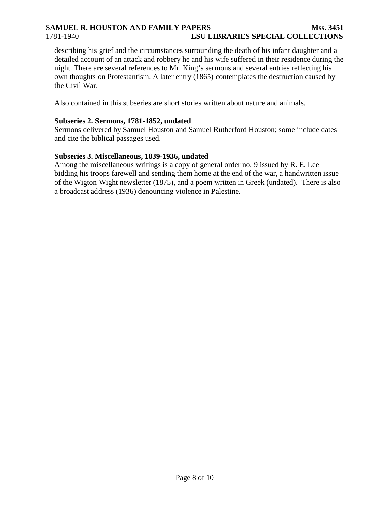# **SAMUEL R. HOUSTON AND FAMILY PAPERS MSS. 3451** 1781-1940 **LSU LIBRARIES SPECIAL COLLECTIONS**

describing his grief and the circumstances surrounding the death of his infant daughter and a detailed account of an attack and robbery he and his wife suffered in their residence during the night. There are several references to Mr. King's sermons and several entries reflecting his own thoughts on Protestantism. A later entry (1865) contemplates the destruction caused by the Civil War.

Also contained in this subseries are short stories written about nature and animals.

## **Subseries 2. Sermons, 1781-1852, undated**

Sermons delivered by Samuel Houston and Samuel Rutherford Houston; some include dates and cite the biblical passages used.

## **Subseries 3. Miscellaneous, 1839-1936, undated**

Among the miscellaneous writings is a copy of general order no. 9 issued by R. E. Lee bidding his troops farewell and sending them home at the end of the war, a handwritten issue of the Wigton Wight newsletter (1875), and a poem written in Greek (undated). There is also a broadcast address (1936) denouncing violence in Palestine.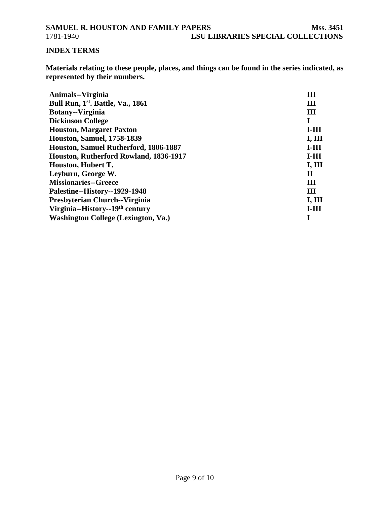# <span id="page-8-0"></span>**INDEX TERMS**

**Materials relating to these people, places, and things can be found in the series indicated, as represented by their numbers.**

| Animals--Virginia                             | Ш             |
|-----------------------------------------------|---------------|
| Bull Run, 1 <sup>st</sup> . Battle, Va., 1861 | Ш             |
| <b>Botany--Virginia</b>                       | Ш             |
| <b>Dickinson College</b>                      |               |
| <b>Houston, Margaret Paxton</b>               | $I-III$       |
| <b>Houston, Samuel, 1758-1839</b>             | I, III        |
| Houston, Samuel Rutherford, 1806-1887         | $I-III$       |
| Houston, Rutherford Rowland, 1836-1917        | $I-III$       |
| Houston, Hubert T.                            | I, III        |
| Leyburn, George W.                            | П             |
| <b>Missionaries--Greece</b>                   | Ш             |
| Palestine--History--1929-1948                 | Ш             |
| Presbyterian Church--Virginia                 | <b>I, III</b> |
| Virginia--History--19 <sup>th</sup> century   | $I-III$       |
| <b>Washington College (Lexington, Va.)</b>    |               |